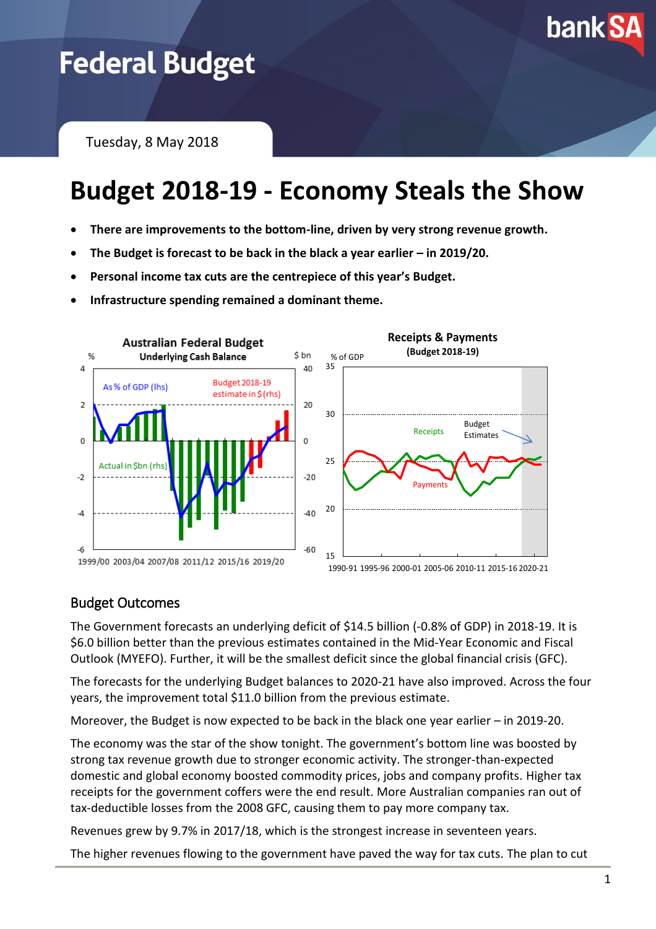

# **Federal Budget**

Tuesday, 8 May 2018

## **Budget 2018-19 - Economy Steals the Show**

- **There are improvements to the bottom-line, driven by very strong revenue growth.**
- The Budget is forecast to be back in the black a year earlier in 2019/20.
- **Personal income tax cuts are the centrepiece of this year's Budget.**
- **Infrastructure spending remained a dominant theme.**



### Budget Outcomes

The Government forecasts an underlying deficit of \$14.5 billion (-0.8% of GDP) in 2018-19. It is \$6.0 billion better than the previous estimates contained in the Mid-Year Economic and Fiscal Outlook (MYEFO). Further, it will be the smallest deficit since the global financial crisis (GFC).

The forecasts for the underlying Budget balances to 2020-21 have also improved. Across the four years, the improvement total \$11.0 billion from the previous estimate.

Moreover, the Budget is now expected to be back in the black one year earlier – in 2019-20.

The economy was the star of the show tonight. The government's bottom line was boosted by strong tax revenue growth due to stronger economic activity. The stronger-than-expected domestic and global economy boosted commodity prices, jobs and company profits. Higher tax receipts for the government coffers were the end result. More Australian companies ran out of tax-deductible losses from the 2008 GFC, causing them to pay more company tax.

Revenues grew by 9.7% in 2017/18, which is the strongest increase in seventeen years.

The higher revenues flowing to the government have paved the way for tax cuts. The plan to cut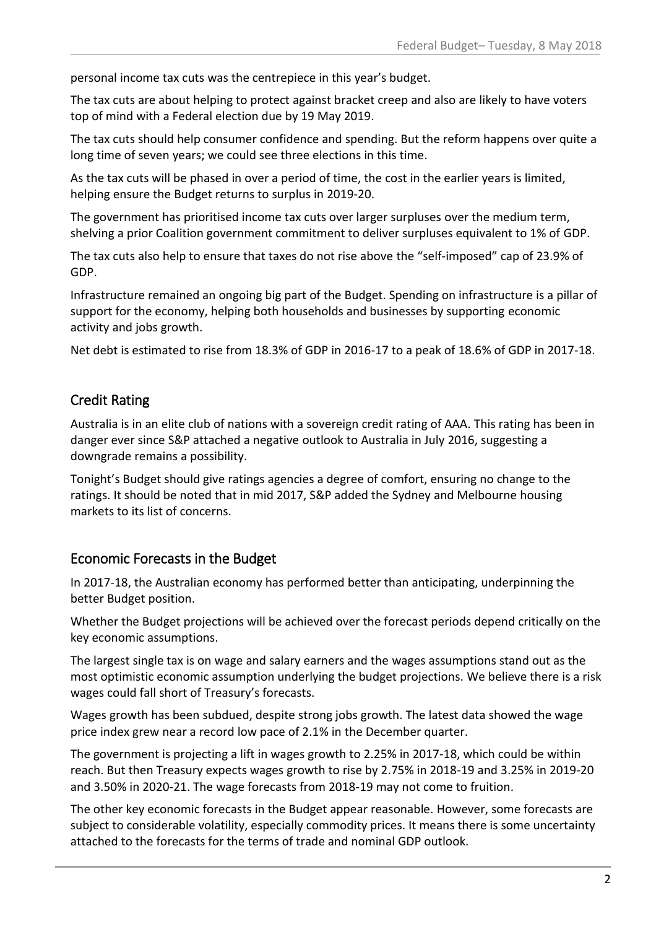personal income tax cuts was the centrepiece in this year's budget.

The tax cuts are about helping to protect against bracket creep and also are likely to have voters top of mind with a Federal election due by 19 May 2019.

The tax cuts should help consumer confidence and spending. But the reform happens over quite a long time of seven years; we could see three elections in this time.

As the tax cuts will be phased in over a period of time, the cost in the earlier years is limited, helping ensure the Budget returns to surplus in 2019-20.

The government has prioritised income tax cuts over larger surpluses over the medium term, shelving a prior Coalition government commitment to deliver surpluses equivalent to 1% of GDP.

The tax cuts also help to ensure that taxes do not rise above the "self-imposed" cap of 23.9% of GDP.

Infrastructure remained an ongoing big part of the Budget. Spending on infrastructure is a pillar of support for the economy, helping both households and businesses by supporting economic activity and jobs growth.

Net debt is estimated to rise from 18.3% of GDP in 2016-17 to a peak of 18.6% of GDP in 2017-18.

#### Credit Rating

Australia is in an elite club of nations with a sovereign credit rating of AAA. This rating has been in danger ever since S&P attached a negative outlook to Australia in July 2016, suggesting a downgrade remains a possibility.

Tonight's Budget should give ratings agencies a degree of comfort, ensuring no change to the ratings. It should be noted that in mid 2017, S&P added the Sydney and Melbourne housing markets to its list of concerns.

#### Economic Forecasts in the Budget

In 2017-18, the Australian economy has performed better than anticipating, underpinning the better Budget position.

Whether the Budget projections will be achieved over the forecast periods depend critically on the key economic assumptions.

The largest single tax is on wage and salary earners and the wages assumptions stand out as the most optimistic economic assumption underlying the budget projections. We believe there is a risk wages could fall short of Treasury's forecasts.

Wages growth has been subdued, despite strong jobs growth. The latest data showed the wage price index grew near a record low pace of 2.1% in the December quarter.

The government is projecting a lift in wages growth to 2.25% in 2017-18, which could be within reach. But then Treasury expects wages growth to rise by 2.75% in 2018-19 and 3.25% in 2019-20 and 3.50% in 2020-21. The wage forecasts from 2018-19 may not come to fruition.

The other key economic forecasts in the Budget appear reasonable. However, some forecasts are subject to considerable volatility, especially commodity prices. It means there is some uncertainty attached to the forecasts for the terms of trade and nominal GDP outlook.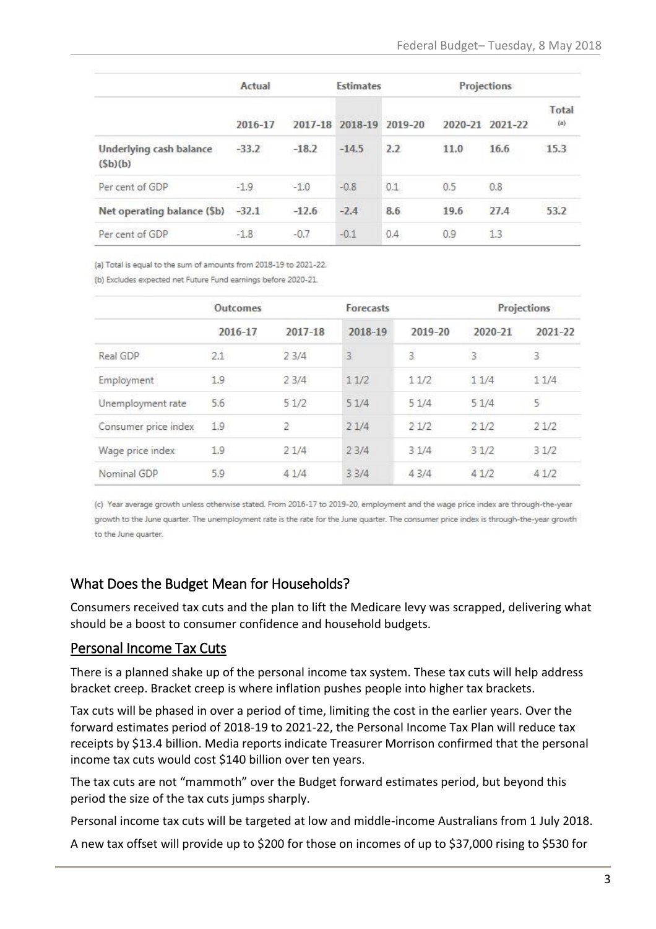|                                    | Actual  |         | <b>Estimates</b> |         | Projections |             |              |
|------------------------------------|---------|---------|------------------|---------|-------------|-------------|--------------|
|                                    | 2016-17 |         | 2017-18 2018-19  | 2019-20 | 2020-21     | $2021 - 22$ | Total<br>(a) |
| Underlying cash balance<br>(5b)(b) | $-33.2$ | $-18.2$ | $-14.5$          | 2.2     | 11.0        | 16.6        | 15.3         |
| Per cent of GDP                    | $-1.9.$ | $-1.0$  | $-0.8$           | 0.1     | 0.5         | 0.8         |              |
| Net operating balance (\$b) -32.1  |         | $-12.6$ | $-2.4$           | 8.6     | 19.6        | 27.4        | 53.2         |
| Per cent of GDP                    | $-1.8$  | $-0.7$  | $-0.1$           | 0.4     | 0.9         | 1.3         |              |

(a) Total is equal to the sum of amounts from 2018-19 to 2021-22.

(b) Excludes expected net Future Fund earnings before 2020-21.

|                      | Outcomes |                | Forecasts      |                | Projections    |                |
|----------------------|----------|----------------|----------------|----------------|----------------|----------------|
|                      | 2016-17  | 2017-18        | 2018-19        | 2019-20        | 2020-21        | 2021-22        |
| Real GDP             | 2.1      | かいこくせい<br>23/4 | $\overline{3}$ | $\overline{3}$ | $\overline{3}$ | $\overline{3}$ |
| Employment           | 1.9      | 23/4           | 11/2           | 11/2           | 11/4           | 11/4           |
| Unemployment rate    | 5.6      | 51/2           | 51/4           | 51/4           | 51/4           | 5              |
| Consumer price index | 1.9      | 2              | 21/4           | 21/2           | 21/2           | 21/2           |
| Wage price index     | 1.9      | 2.1/4          | 23/4           | 31/4           | 31/2           | 31/2           |
| Nominal GDP          | 5.9      | 41/4           | 33/4           | 43/4           | 41/2           | 41/2           |

(c) Year average growth unless otherwise stated. From 2016-17 to 2019-20, employment and the wage price index are through-the-year growth to the June quarter. The unemployment rate is the rate for the June quarter. The consumer price index is through-the-year growth to the June quarter.

#### What Does the Budget Mean for Households?

Consumers received tax cuts and the plan to lift the Medicare levy was scrapped, delivering what should be a boost to consumer confidence and household budgets.

#### Personal Income Tax Cuts

There is a planned shake up of the personal income tax system. These tax cuts will help address bracket creep. Bracket creep is where inflation pushes people into higher tax brackets.

Tax cuts will be phased in over a period of time, limiting the cost in the earlier years. Over the forward estimates period of 2018-19 to 2021-22, the Personal Income Tax Plan will reduce tax receipts by \$13.4 billion. Media reports indicate Treasurer Morrison confirmed that the personal income tax cuts would cost \$140 billion over ten years.

The tax cuts are not "mammoth" over the Budget forward estimates period, but beyond this period the size of the tax cuts jumps sharply.

Personal income tax cuts will be targeted at low and middle-income Australians from 1 July 2018.

A new tax offset will provide up to \$200 for those on incomes of up to \$37,000 rising to \$530 for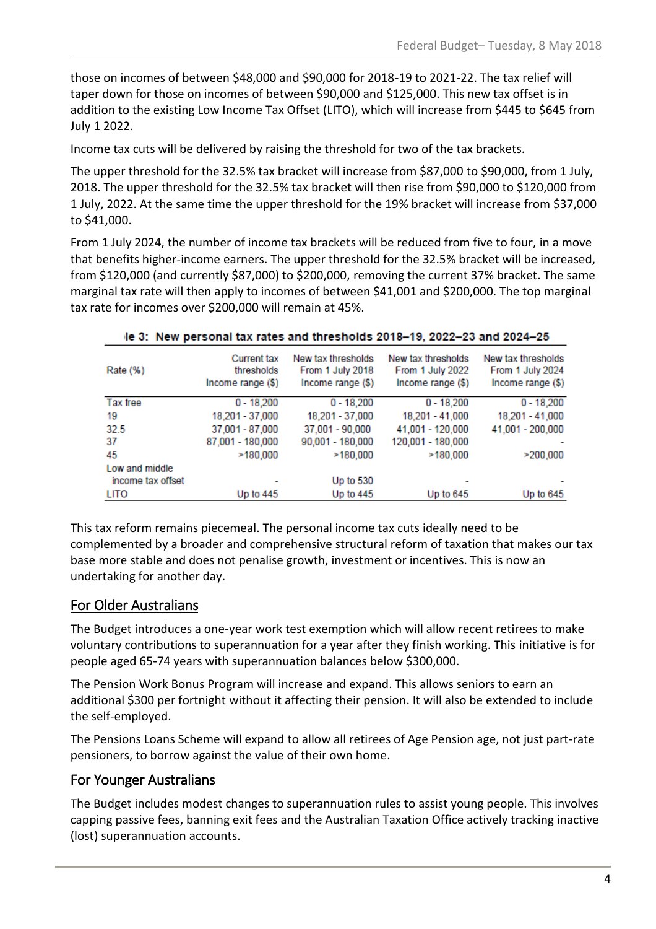those on incomes of between \$48,000 and \$90,000 for 2018-19 to 2021-22. The tax relief will taper down for those on incomes of between \$90,000 and \$125,000. This new tax offset is in addition to the existing Low Income Tax Offset (LITO), which will increase from \$445 to \$645 from July 1 2022.

Income tax cuts will be delivered by raising the threshold for two of the tax brackets.

The upper threshold for the 32.5% tax bracket will increase from \$87,000 to \$90,000, from 1 July, 2018. The upper threshold for the 32.5% tax bracket will then rise from \$90,000 to \$120,000 from 1 July, 2022. At the same time the upper threshold for the 19% bracket will increase from \$37,000 to \$41,000.

From 1 July 2024, the number of income tax brackets will be reduced from five to four, in a move that benefits higher-income earners. The upper threshold for the 32.5% bracket will be increased, from \$120,000 (and currently \$87,000) to \$200,000, removing the current 37% bracket. The same marginal tax rate will then apply to incomes of between \$41,001 and \$200,000. The top marginal tax rate for incomes over \$200,000 will remain at 45%.

| le 3: New personal tax rates and thresholds 2018-19, 2022-23 and 2024-25 |                                                       |                                                             |                                                             |                                                             |  |  |
|--------------------------------------------------------------------------|-------------------------------------------------------|-------------------------------------------------------------|-------------------------------------------------------------|-------------------------------------------------------------|--|--|
| Rate (%)                                                                 | <b>Current tax</b><br>thresholds<br>Income range (\$) | New tax thresholds<br>From 1 July 2018<br>Income range (\$) | New tax thresholds<br>From 1 July 2022<br>Income range (\$) | New tax thresholds<br>From 1 July 2024<br>Income range (\$) |  |  |
| Tax free                                                                 | $0 - 18.200$                                          | $0 - 18.200$                                                | $0 - 18,200$                                                | $0 - 18,200$                                                |  |  |
| 19                                                                       | 18,201 - 37,000                                       | 18,201 - 37,000                                             | 18,201 - 41,000                                             | 18,201 - 41,000                                             |  |  |
| 32.5                                                                     | 37,001 - 87,000                                       | 37,001 - 90,000                                             | 41,001 - 120,000                                            | 41,001 - 200,000                                            |  |  |
| -37                                                                      | 87,001 - 180,000                                      | 90,001 - 180,000                                            | 120,001 - 180,000                                           |                                                             |  |  |
| 45                                                                       | >180.000                                              | >180.000                                                    | >180,000                                                    | >200.000                                                    |  |  |
| Low and middle<br>income tax offset                                      |                                                       | Up to 530                                                   |                                                             |                                                             |  |  |
| LITO                                                                     | Up to $445$                                           | Up to 445                                                   | Up to $645$                                                 | Up to $645$                                                 |  |  |

This tax reform remains piecemeal. The personal income tax cuts ideally need to be complemented by a broader and comprehensive structural reform of taxation that makes our tax base more stable and does not penalise growth, investment or incentives. This is now an undertaking for another day.

### For Older Australians

The Budget introduces a one-year work test exemption which will allow recent retirees to make voluntary contributions to superannuation for a year after they finish working. This initiative is for people aged 65-74 years with superannuation balances below \$300,000.

The Pension Work Bonus Program will increase and expand. This allows seniors to earn an additional \$300 per fortnight without it affecting their pension. It will also be extended to include the self-employed.

The Pensions Loans Scheme will expand to allow all retirees of Age Pension age, not just part-rate pensioners, to borrow against the value of their own home.

### For Younger Australians

The Budget includes modest changes to superannuation rules to assist young people. This involves capping passive fees, banning exit fees and the Australian Taxation Office actively tracking inactive (lost) superannuation accounts.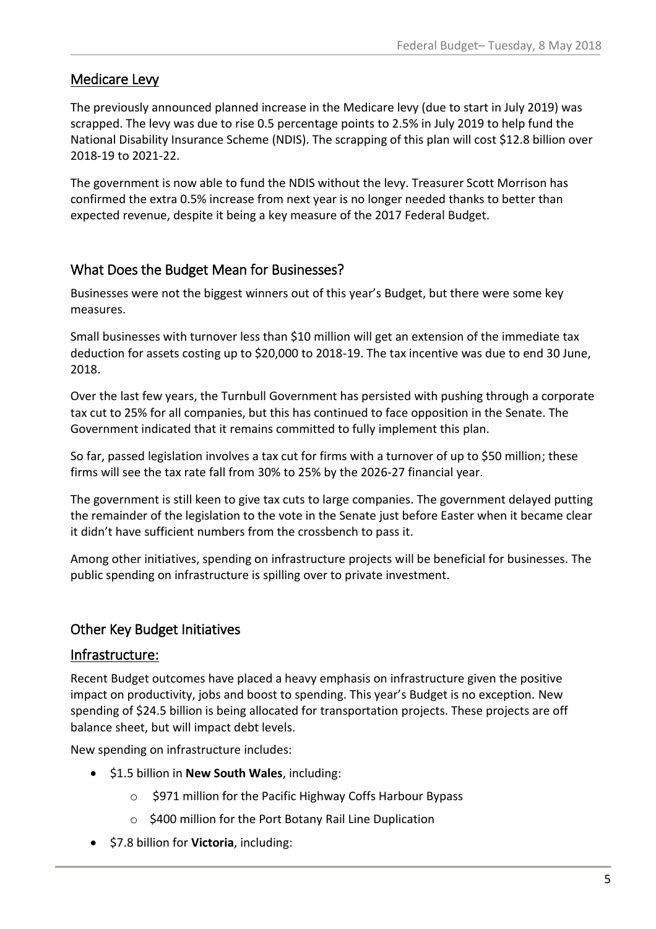#### Medicare Levy

The previously announced planned increase in the Medicare levy (due to start in July 2019) was scrapped. The levy was due to rise 0.5 percentage points to 2.5% in July 2019 to help fund the National Disability Insurance Scheme (NDIS). The scrapping of this plan will cost \$12.8 billion over 2018-19 to 2021-22.

The government is now able to fund the NDIS without the levy. Treasurer Scott Morrison has confirmed the extra 0.5% increase from next year is no longer needed thanks to better than expected revenue, despite it being a key measure of the 2017 Federal Budget.

#### What Does the Budget Mean for Businesses?

Businesses were not the biggest winners out of this year's Budget, but there were some key measures.

Small businesses with turnover less than \$10 million will get an extension of the immediate tax deduction for assets costing up to \$20,000 to 2018-19. The tax incentive was due to end 30 June, 2018.

Over the last few years, the Turnbull Government has persisted with pushing through a corporate tax cut to 25% for all companies, but this has continued to face opposition in the Senate. The Government indicated that it remains committed to fully implement this plan.

So far, passed legislation involves a tax cut for firms with a turnover of up to \$50 million; these firms will see the tax rate fall from 30% to 25% by the 2026-27 financial year.

The government is still keen to give tax cuts to large companies. The government delayed putting the remainder of the legislation to the vote in the Senate just before Easter when it became clear it didn't have sufficient numbers from the crossbench to pass it.

Among other initiatives, spending on infrastructure projects will be beneficial for businesses. The public spending on infrastructure is spilling over to private investment.

### Other Key Budget Initiatives

#### Infrastructure:

Recent Budget outcomes have placed a heavy emphasis on infrastructure given the positive impact on productivity, jobs and boost to spending. This year's Budget is no exception. New spending of \$24.5 billion is being allocated for transportation projects. These projects are off balance sheet, but will impact debt levels.

New spending on infrastructure includes:

- \$1.5 billion in **New South Wales**, including:
	- o \$971 million for the Pacific Highway Coffs Harbour Bypass
	- o \$400 million for the Port Botany Rail Line Duplication
- $\bullet$  \$7.8 billion for **Victoria**, including: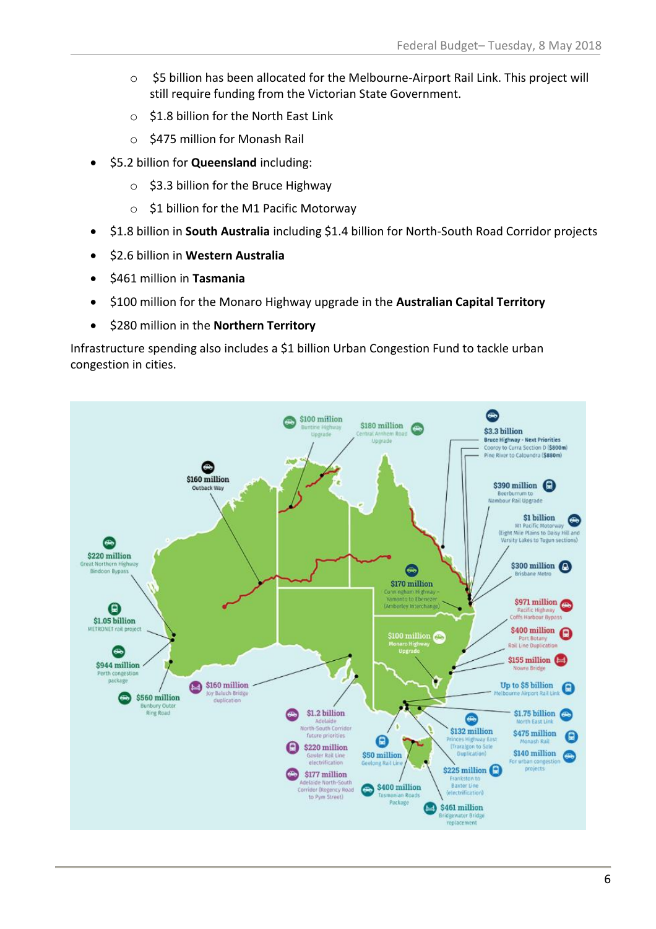- o \$5 billion has been allocated for the Melbourne-Airport Rail Link. This project will still require funding from the Victorian State Government.
- o \$1.8 billion for the North East Link
- o \$475 million for Monash Rail
- \$5.2 billion for **Queensland** including:
	- $\circ$  \$3.3 billion for the Bruce Highway
	- o \$1 billion for the M1 Pacific Motorway
- \$1.8 billion in **South Australia** including \$1.4 billion for North-South Road Corridor projects
- \$2.6 billion in **Western Australia**
- $\bullet$  \$461 million in **Tasmania**
- \$100 million for the Monaro Highway upgrade in the **Australian Capital Territory**
- \$280 million in the **Northern Territory**

Infrastructure spending also includes a \$1 billion Urban Congestion Fund to tackle urban congestion in cities.

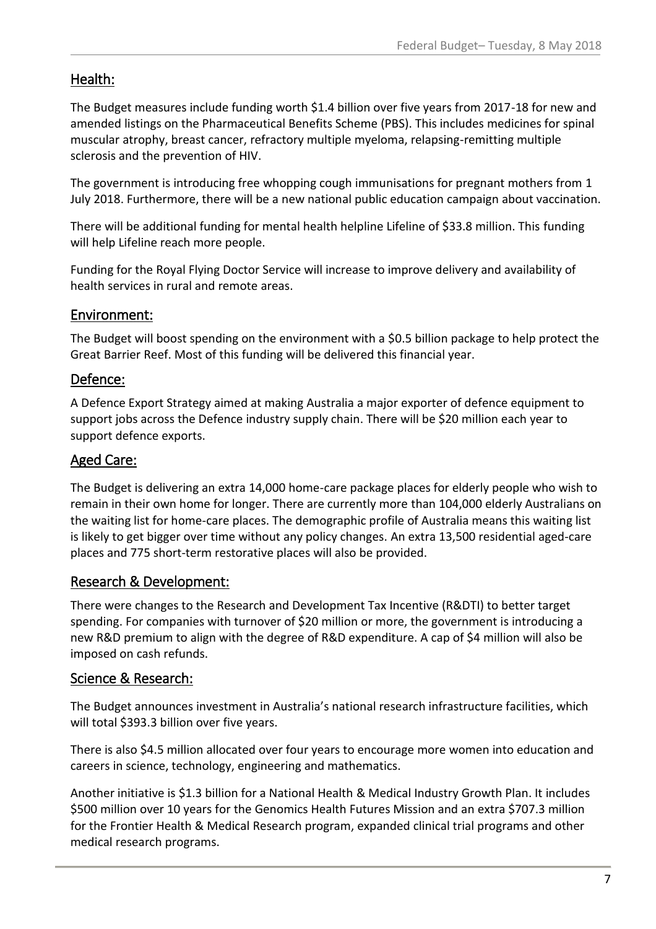### Health:

The Budget measures include funding worth \$1.4 billion over five years from 2017-18 for new and amended listings on the Pharmaceutical Benefits Scheme (PBS). This includes medicines for spinal muscular atrophy, breast cancer, refractory multiple myeloma, relapsing-remitting multiple sclerosis and the prevention of HIV.

The government is introducing free whopping cough immunisations for pregnant mothers from 1 July 2018. Furthermore, there will be a new national public education campaign about vaccination.

There will be additional funding for mental health helpline Lifeline of \$33.8 million. This funding will help Lifeline reach more people.

Funding for the Royal Flying Doctor Service will increase to improve delivery and availability of health services in rural and remote areas.

#### Environment:

The Budget will boost spending on the environment with a \$0.5 billion package to help protect the Great Barrier Reef. Most of this funding will be delivered this financial year.

#### Defence:

A Defence Export Strategy aimed at making Australia a major exporter of defence equipment to support jobs across the Defence industry supply chain. There will be \$20 million each year to support defence exports.

#### Aged Care:

The Budget is delivering an extra 14,000 home-care package places for elderly people who wish to remain in their own home for longer. There are currently more than 104,000 elderly Australians on the waiting list for home-care places. The demographic profile of Australia means this waiting list is likely to get bigger over time without any policy changes. An extra 13,500 residential aged-care places and 775 short-term restorative places will also be provided.

#### Research & Development:

There were changes to the Research and Development Tax Incentive (R&DTI) to better target spending. For companies with turnover of \$20 million or more, the government is introducing a new R&D premium to align with the degree of R&D expenditure. A cap of \$4 million will also be imposed on cash refunds.

#### Science & Research:

The Budget announces investment in Australia's national research infrastructure facilities, which will total \$393.3 billion over five years.

There is also \$4.5 million allocated over four years to encourage more women into education and careers in science, technology, engineering and mathematics.

Another initiative is \$1.3 billion for a National Health & Medical Industry Growth Plan. It includes \$500 million over 10 years for the Genomics Health Futures Mission and an extra \$707.3 million for the Frontier Health & Medical Research program, expanded clinical trial programs and other medical research programs.